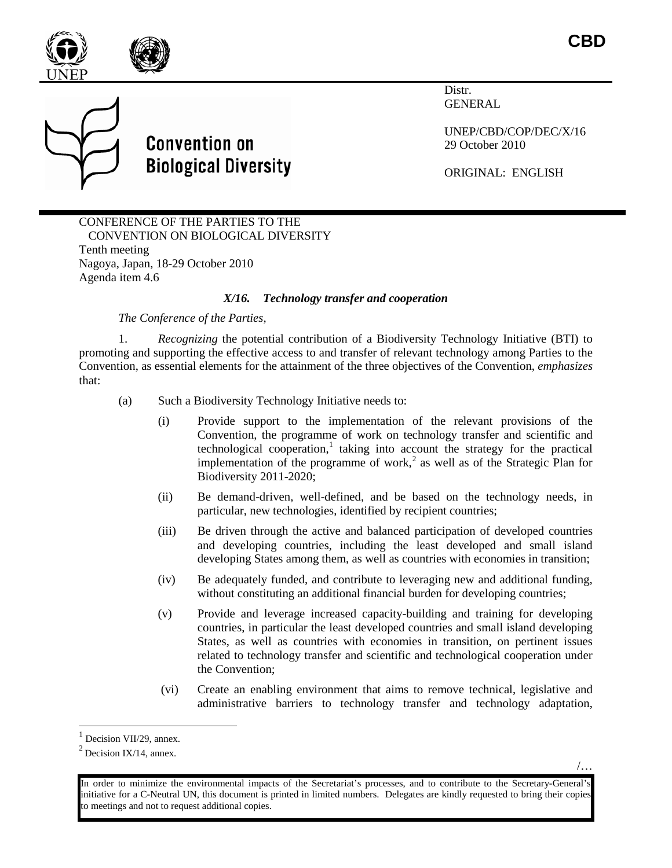

/…



**Convention on Biological Diversity** 

Distr. GENERAL

UNEP/CBD/COP/DEC/X/16 29 October 2010

ORIGINAL: ENGLISH

CONFERENCE OF THE PARTIES TO THE CONVENTION ON BIOLOGICAL DIVERSITY Tenth meeting Nagoya, Japan, 18-29 October 2010 Agenda item 4.6

## *X/16. Technology transfer and cooperation*

*The Conference of the Parties,*

1. *Recognizing* the potential contribution of a Biodiversity Technology Initiative (BTI) to promoting and supporting the effective access to and transfer of relevant technology among Parties to the Convention, as essential elements for the attainment of the three objectives of the Convention, *emphasizes* that:

- (a) Such a Biodiversity Technology Initiative needs to:
	- (i) Provide support to the implementation of the relevant provisions of the Convention, the programme of work on technology transfer and scientific and technological cooperation, $\frac{1}{1}$  $\frac{1}{1}$  $\frac{1}{1}$  taking into account the strategy for the practical implementation of the programme of work,<sup>[2](#page-0-1)</sup> as well as of the Strategic Plan for Biodiversity 2011-2020;
	- (ii) Be demand-driven, well-defined, and be based on the technology needs, in particular, new technologies, identified by recipient countries;
	- (iii) Be driven through the active and balanced participation of developed countries and developing countries, including the least developed and small island developing States among them, as well as countries with economies in transition;
	- (iv) Be adequately funded, and contribute to leveraging new and additional funding, without constituting an additional financial burden for developing countries;
	- (v) Provide and leverage increased capacity-building and training for developing countries, in particular the least developed countries and small island developing States, as well as countries with economies in transition, on pertinent issues related to technology transfer and scientific and technological cooperation under the Convention;
	- (vi) Create an enabling environment that aims to remove technical, legislative and administrative barriers to technology transfer and technology adaptation,

<span id="page-0-0"></span> $<sup>1</sup>$  Decision VII/29, annex.</sup>

<span id="page-0-1"></span> $2$  Decision IX/14, annex.

<sup>/…</sup> In order to minimize the environmental impacts of the Secretariat's processes, and to contribute to the Secretary-General's initiative for a C-Neutral UN, this document is printed in limited numbers. Delegates are kindly requested to bring their copies to meetings and not to request additional copies.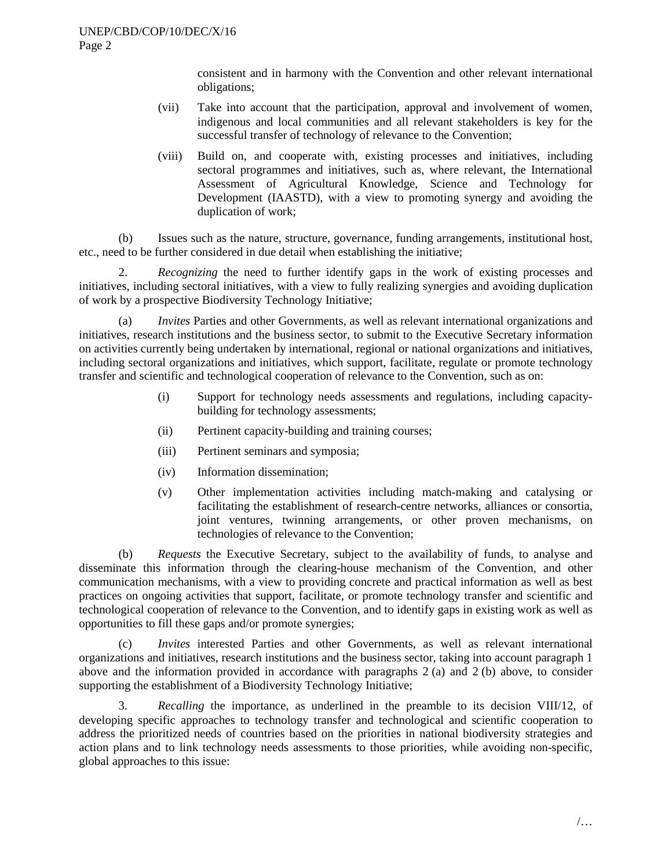consistent and in harmony with the Convention and other relevant international obligations;

- (vii) Take into account that the participation, approval and involvement of women, indigenous and local communities and all relevant stakeholders is key for the successful transfer of technology of relevance to the Convention;
- (viii) Build on, and cooperate with, existing processes and initiatives, including sectoral programmes and initiatives, such as, where relevant, the International Assessment of Agricultural Knowledge, Science and Technology for Development (IAASTD), with a view to promoting synergy and avoiding the duplication of work;

(b) Issues such as the nature, structure, governance, funding arrangements, institutional host, etc., need to be further considered in due detail when establishing the initiative;

2. *Recognizing* the need to further identify gaps in the work of existing processes and initiatives, including sectoral initiatives, with a view to fully realizing synergies and avoiding duplication of work by a prospective Biodiversity Technology Initiative;

(a) *Invites* Parties and other Governments, as well as relevant international organizations and initiatives, research institutions and the business sector, to submit to the Executive Secretary information on activities currently being undertaken by international, regional or national organizations and initiatives, including sectoral organizations and initiatives, which support, facilitate, regulate or promote technology transfer and scientific and technological cooperation of relevance to the Convention, such as on:

- (i) Support for technology needs assessments and regulations, including capacitybuilding for technology assessments;
- (ii) Pertinent capacity-building and training courses;
- (iii) Pertinent seminars and symposia;
- (iv) Information dissemination;
- (v) Other implementation activities including match-making and catalysing or facilitating the establishment of research-centre networks, alliances or consortia, joint ventures, twinning arrangements, or other proven mechanisms, on technologies of relevance to the Convention;

(b) *Requests* the Executive Secretary, subject to the availability of funds, to analyse and disseminate this information through the clearing-house mechanism of the Convention, and other communication mechanisms, with a view to providing concrete and practical information as well as best practices on ongoing activities that support, facilitate, or promote technology transfer and scientific and technological cooperation of relevance to the Convention, and to identify gaps in existing work as well as opportunities to fill these gaps and/or promote synergies;

(c) *Invites* interested Parties and other Governments, as well as relevant international organizations and initiatives, research institutions and the business sector, taking into account paragraph 1 above and the information provided in accordance with paragraphs 2 (a) and 2 (b) above, to consider supporting the establishment of a Biodiversity Technology Initiative;

3. *Recalling* the importance, as underlined in the preamble to its decision VIII/12, of developing specific approaches to technology transfer and technological and scientific cooperation to address the prioritized needs of countries based on the priorities in national biodiversity strategies and action plans and to link technology needs assessments to those priorities, while avoiding non-specific, global approaches to this issue: